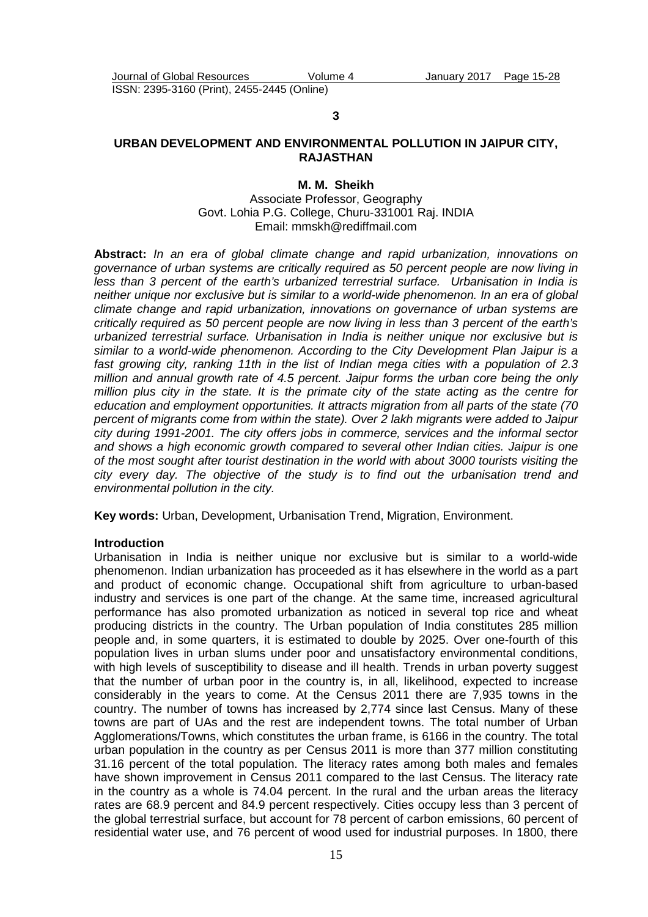**3** 

## **URBAN DEVELOPMENT AND ENVIRONMENTAL POLLUTION IN JAIPUR CITY, RAJASTHAN**

## **M. M. Sheikh**

Associate Professor, Geography Govt. Lohia P.G. College, Churu-331001 Raj. INDIA Email: mmskh@rediffmail.com

**Abstract:** In an era of global climate change and rapid urbanization, innovations on governance of urban systems are critically required as 50 percent people are now living in less than 3 percent of the earth's urbanized terrestrial surface. Urbanisation in India is neither unique nor exclusive but is similar to a world-wide phenomenon. In an era of global climate change and rapid urbanization, innovations on governance of urban systems are critically required as 50 percent people are now living in less than 3 percent of the earth's urbanized terrestrial surface. Urbanisation in India is neither unique nor exclusive but is similar to a world-wide phenomenon. According to the City Development Plan Jaipur is a fast growing city, ranking 11th in the list of Indian mega cities with a population of 2.3 million and annual growth rate of 4.5 percent. Jaipur forms the urban core being the only million plus city in the state. It is the primate city of the state acting as the centre for education and employment opportunities. It attracts migration from all parts of the state (70 percent of migrants come from within the state). Over 2 lakh migrants were added to Jaipur city during 1991-2001. The city offers jobs in commerce, services and the informal sector and shows a high economic growth compared to several other Indian cities. Jaipur is one of the most sought after tourist destination in the world with about 3000 tourists visiting the city every day. The objective of the study is to find out the urbanisation trend and environmental pollution in the city.

**Key words:** Urban, Development, Urbanisation Trend, Migration, Environment.

#### **Introduction**

Urbanisation in India is neither unique nor exclusive but is similar to a world-wide phenomenon. Indian urbanization has proceeded as it has elsewhere in the world as a part and product of economic change. Occupational shift from agriculture to urban-based industry and services is one part of the change. At the same time, increased agricultural performance has also promoted urbanization as noticed in several top rice and wheat producing districts in the country. The Urban population of India constitutes 285 million people and, in some quarters, it is estimated to double by 2025. Over one-fourth of this population lives in urban slums under poor and unsatisfactory environmental conditions, with high levels of susceptibility to disease and ill health. Trends in urban poverty suggest that the number of urban poor in the country is, in all, likelihood, expected to increase considerably in the years to come. At the Census 2011 there are 7,935 towns in the country. The number of towns has increased by 2,774 since last Census. Many of these towns are part of UAs and the rest are independent towns. The total number of Urban Agglomerations/Towns, which constitutes the urban frame, is 6166 in the country. The total urban population in the country as per Census 2011 is more than 377 million constituting 31.16 percent of the total population. The literacy rates among both males and females have shown improvement in Census 2011 compared to the last Census. The literacy rate in the country as a whole is 74.04 percent. In the rural and the urban areas the literacy rates are 68.9 percent and 84.9 percent respectively. Cities occupy less than 3 percent of the global terrestrial surface, but account for 78 percent of carbon emissions, 60 percent of residential water use, and 76 percent of wood used for industrial purposes. In 1800, there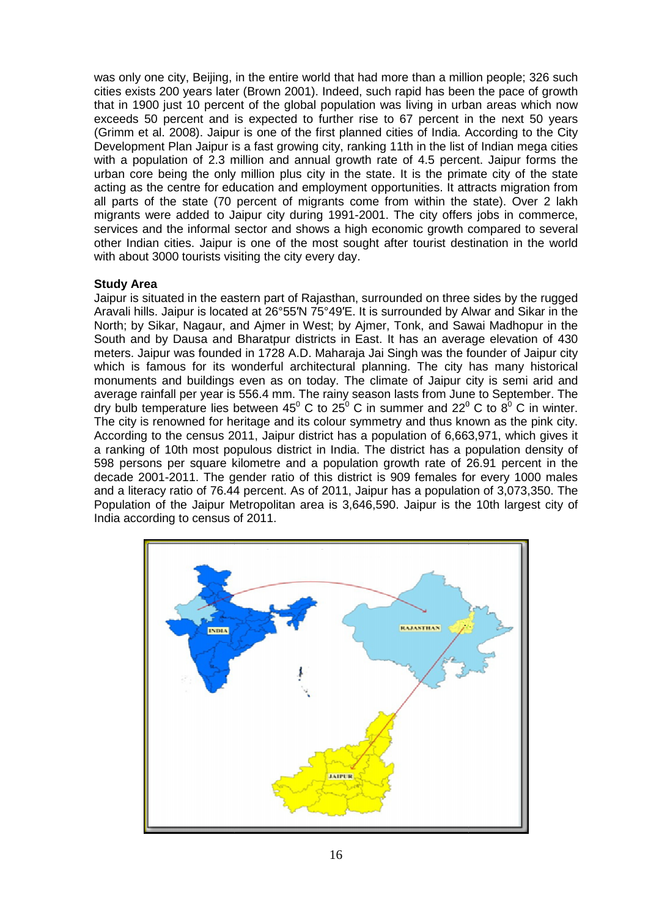was only one city, Beijing, in the entire world that had more than a million people; 326 such cities exists 200 years later (Brown 2001). Indeed, such rapid has been the pace of growth that in 1900 just 10 percent of the global population was living in urban areas which now exceeds 50 percent and is expected to further rise to 67 67 percent in the next 50 years (Grimm et al. 2008). Jaipur is one of the first planned cities of India. According to the City Development Plan Jaipur is a fast growing city, ranking 11th in the list of Indian mega cities with a population of 2.3 million and annual growth rate of 4.5 percent. Jaipur forms the urban core being the only million plus city in the state. It is the primate city of the state acting as the centre for education and employment opportunities. It attracts migration from all parts of the state (70 percent of migrants come from within the state). Over 2 lakh migrants were added to Jaipur city during 1991-2001. The city offers jobs in commerce, services and the informal sector and shows a high economic growth compared to several other Indian cities. Jaipur is one of the most sought after tourist destination in the world with about 3000 tourists visiting the city every day. velopment Plan Jaipur is a fast growing city, ranking 11th in the list of Indian mega cities<br>h a population of 2.3 million and annual growth rate of 4.5 percent. Jaipur forms the<br>pan core being the only million plus city i

## **Study Area**

Jaipur is situated in the eastern part of Rajasthan, surrounded on three sides by the rugged Aravali hills. Jaipur is located at 2 26°55′N 75°49′E. It is surrounded by Alwar and Sikar in the North; by Sikar, Nagaur, and Ajmer in West; by Ajmer, Tonk, and Sawai Madhopur in the South and by Dausa and Bharatpur districts in East. It has an average elevation of 430 meters. Jaipur was founded in 1728 A.D. Maharaja Jai Singh was the founder of Jaipur city which is famous for its wonderful architectural planning. The city has many historical monuments and buildings even as on today. The climate of Jaipur city is semi arid and average rainfall per year is 556.4 mm. The rainy season lasts from June to September. The Aravali hills. Jaipur is located at 26°55'N 75°49'E. It is surrounded by Alwar and Sikar in the<br>North; by Sikar, Nagaur, and Ajmer in West; by Ajmer, Tonk, and Sawai Madhopur in the<br>South and by Dausa and Bharatpur distri The city is renowned for heritage and its colour symmetry and thus known as the pink city. According to the census 2011, Jaipur district has a population of 6,663,971, which gives it a ranking of 10th most populous district in India. The district has a population density of 598 persons per square kilometre and a population growth rate of 26.91 percent in the decade 2001-2011. The gender ratio of this district is 909 females for every 1000 males and a literacy ratio of 76.44 percent. As of 2011, Jaipur has a population of 3,073,350. The Population of the Jaipur Metropolitan area is 3,646,590. Jaipur is the 10th largest city of India according to census of 2011.

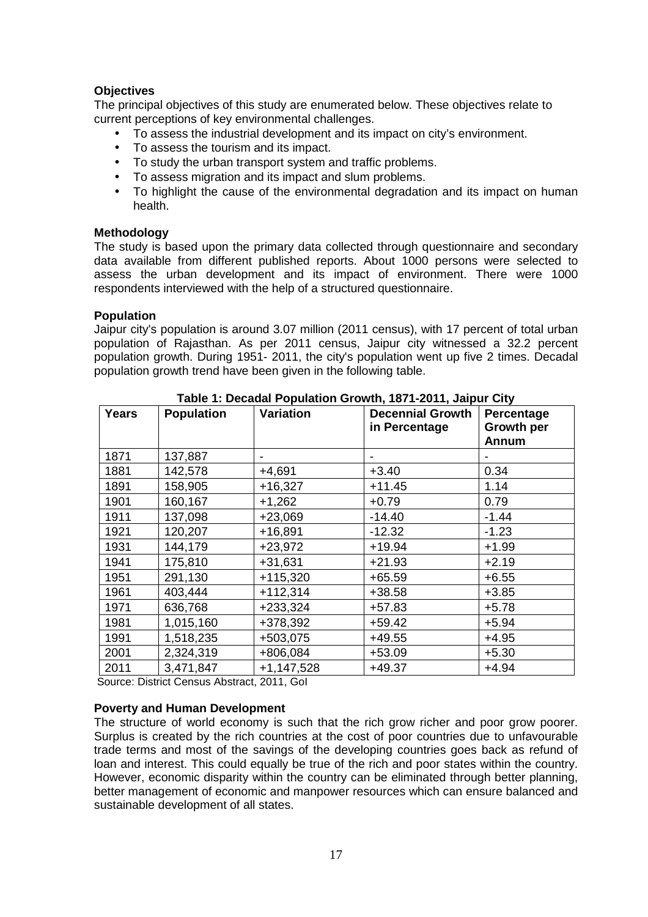# **Objectives**

The principal objectives of this study are enumerated below. These objectives relate to current perceptions of key environmental challenges.

- To assess the industrial development and its impact on city's environment.
- To assess the tourism and its impact.
- To study the urban transport system and traffic problems.
- To assess migration and its impact and slum problems.
- To highlight the cause of the environmental degradation and its impact on human health.

# **Methodology**

The study is based upon the primary data collected through questionnaire and secondary data available from different published reports. About 1000 persons were selected to assess the urban development and its impact of environment. There were 1000 respondents interviewed with the help of a structured questionnaire.

## **Population**

Jaipur city's population is around 3.07 million (2011 census), with 17 percent of total urban population of Rajasthan. As per 2011 census, Jaipur city witnessed a 32.2 percent population growth. During 1951- 2011, the city's population went up five 2 times. Decadal population growth trend have been given in the following table.

| <b>Years</b> | <b>Population</b> | <b>Variation</b> | <b>Decennial Growth</b><br>in Percentage | Percentage<br><b>Growth per</b><br><b>Annum</b> |
|--------------|-------------------|------------------|------------------------------------------|-------------------------------------------------|
| 1871         | 137,887           |                  |                                          |                                                 |
| 1881         | 142,578           | $+4,691$         | $+3.40$                                  | 0.34                                            |
| 1891         | 158,905           | $+16,327$        | $+11.45$                                 | 1.14                                            |
| 1901         | 160,167           | $+1,262$         | $+0.79$                                  | 0.79                                            |
| 1911         | 137,098           | $+23,069$        | $-14.40$                                 | $-1.44$                                         |
| 1921         | 120,207           | $+16,891$        | $-12.32$                                 | $-1.23$                                         |
| 1931         | 144,179           | $+23,972$        | $+19.94$                                 | $+1.99$                                         |
| 1941         | 175,810           | $+31,631$        | $+21.93$                                 | $+2.19$                                         |
| 1951         | 291,130           | $+115,320$       | $+65.59$                                 | $+6.55$                                         |
| 1961         | 403,444           | $+112,314$       | $+38.58$                                 | $+3.85$                                         |
| 1971         | 636,768           | $+233,324$       | $+57.83$                                 | $+5.78$                                         |
| 1981         | 1,015,160         | +378,392         | $+59.42$                                 | $+5.94$                                         |
| 1991         | 1,518,235         | +503,075         | $+49.55$                                 | $+4.95$                                         |
| 2001         | 2,324,319         | +806,084         | $+53.09$                                 | $+5.30$                                         |
| 2011         | 3,471,847         | $+1,147,528$     | $+49.37$                                 | $+4.94$                                         |

**Table 1: Decadal Population Growth, 1871-2011, Jaipur City**

Source: District Census Abstract, 2011, GoI

# **Poverty and Human Development**

The structure of world economy is such that the rich grow richer and poor grow poorer. Surplus is created by the rich countries at the cost of poor countries due to unfavourable trade terms and most of the savings of the developing countries goes back as refund of loan and interest. This could equally be true of the rich and poor states within the country. However, economic disparity within the country can be eliminated through better planning, better management of economic and manpower resources which can ensure balanced and sustainable development of all states.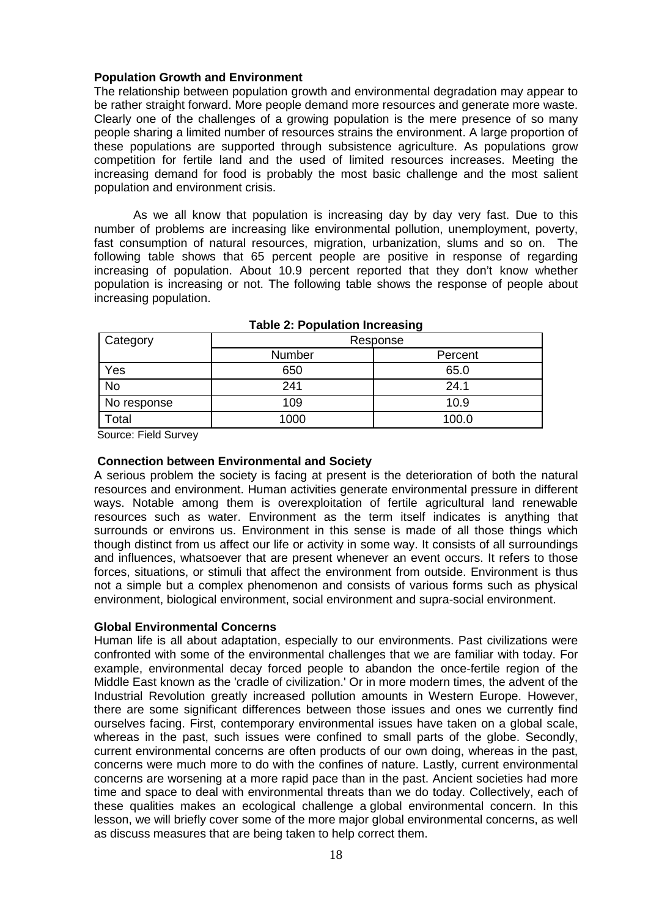## **Population Growth and Environment**

The relationship between population growth and environmental degradation may appear to be rather straight forward. More people demand more resources and generate more waste. Clearly one of the challenges of a growing population is the mere presence of so many people sharing a limited number of resources strains the environment. A large proportion of these populations are supported through subsistence agriculture. As populations grow competition for fertile land and the used of limited resources increases. Meeting the increasing demand for food is probably the most basic challenge and the most salient population and environment crisis.

As we all know that population is increasing day by day very fast. Due to this number of problems are increasing like environmental pollution, unemployment, poverty, fast consumption of natural resources, migration, urbanization, slums and so on. The following table shows that 65 percent people are positive in response of regarding increasing of population. About 10.9 percent reported that they don't know whether population is increasing or not. The following table shows the response of people about increasing population.

| Category    | Response |         |  |
|-------------|----------|---------|--|
|             | Number   | Percent |  |
| Yes         | 650      | 65.0    |  |
| <b>No</b>   | 241      | 24.1    |  |
| No response | 109      | 10.9    |  |
| Total       | 1000     | 100.0   |  |

## **Table 2: Population Increasing**

Source: Field Survey

#### **Connection between Environmental and Society**

A serious problem the society is facing at present is the deterioration of both the natural resources and environment. Human activities generate environmental pressure in different ways. Notable among them is overexploitation of fertile agricultural land renewable resources such as water. Environment as the term itself indicates is anything that surrounds or environs us. Environment in this sense is made of all those things which though distinct from us affect our life or activity in some way. It consists of all surroundings and influences, whatsoever that are present whenever an event occurs. It refers to those forces, situations, or stimuli that affect the environment from outside. Environment is thus not a simple but a complex phenomenon and consists of various forms such as physical environment, biological environment, social environment and supra-social environment.

## **Global Environmental Concerns**

Human life is all about adaptation, especially to our environments. Past civilizations were confronted with some of the environmental challenges that we are familiar with today. For example, environmental decay forced people to abandon the once-fertile region of the Middle East known as the 'cradle of civilization.' Or in more modern times, the advent of the Industrial Revolution greatly increased pollution amounts in Western Europe. However, there are some significant differences between those issues and ones we currently find ourselves facing. First, contemporary environmental issues have taken on a global scale, whereas in the past, such issues were confined to small parts of the globe. Secondly, current environmental concerns are often products of our own doing, whereas in the past, concerns were much more to do with the confines of nature. Lastly, current environmental concerns are worsening at a more rapid pace than in the past. Ancient societies had more time and space to deal with environmental threats than we do today. Collectively, each of these qualities makes an ecological challenge a global environmental concern. In this lesson, we will briefly cover some of the more major global environmental concerns, as well as discuss measures that are being taken to help correct them.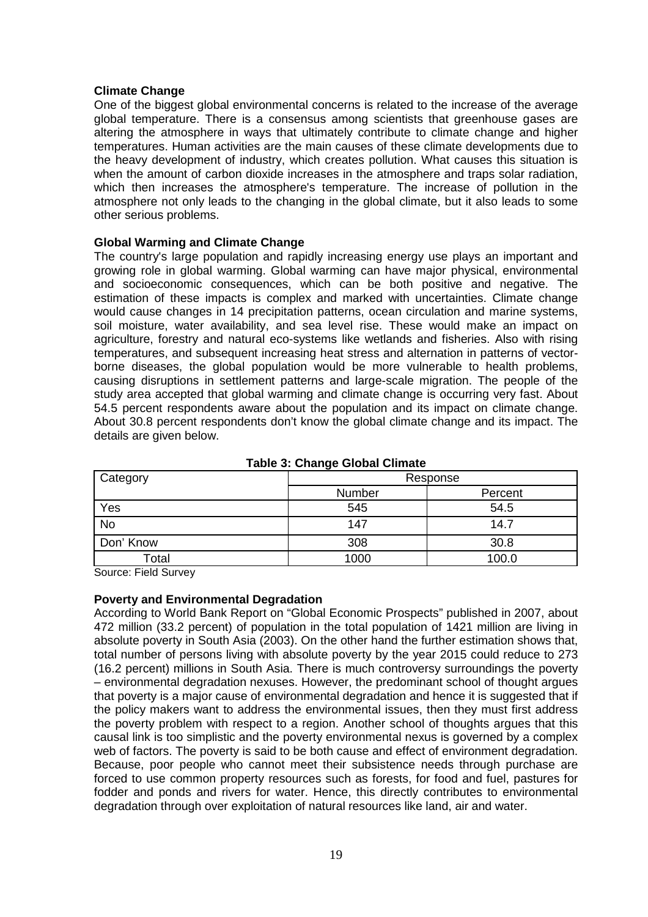## **Climate Change**

One of the biggest global environmental concerns is related to the increase of the average global temperature. There is a consensus among scientists that greenhouse gases are altering the atmosphere in ways that ultimately contribute to climate change and higher temperatures. Human activities are the main causes of these climate developments due to the heavy development of industry, which creates pollution. What causes this situation is when the amount of carbon dioxide increases in the atmosphere and traps solar radiation, which then increases the atmosphere's temperature. The increase of pollution in the atmosphere not only leads to the changing in the global climate, but it also leads to some other serious problems.

## **Global Warming and Climate Change**

The country's large population and rapidly increasing energy use plays an important and growing role in global warming. Global warming can have major physical, environmental and socioeconomic consequences, which can be both positive and negative. The estimation of these impacts is complex and marked with uncertainties. Climate change would cause changes in 14 precipitation patterns, ocean circulation and marine systems, soil moisture, water availability, and sea level rise. These would make an impact on agriculture, forestry and natural eco-systems like wetlands and fisheries. Also with rising temperatures, and subsequent increasing heat stress and alternation in patterns of vectorborne diseases, the global population would be more vulnerable to health problems, causing disruptions in settlement patterns and large-scale migration. The people of the study area accepted that global warming and climate change is occurring very fast. About 54.5 percent respondents aware about the population and its impact on climate change. About 30.8 percent respondents don't know the global climate change and its impact. The details are given below.

| Category  |        | Response |
|-----------|--------|----------|
|           | Number | Percent  |
| Yes       | 545    | 54.5     |
| <b>No</b> | 147    | 14.7     |
| Don' Know | 308    | 30.8     |
| Total     | 1000   | 100.0    |

**Table 3: Change Global Climate** 

Source: Field Survey

## **Poverty and Environmental Degradation**

According to World Bank Report on "Global Economic Prospects" published in 2007, about 472 million (33.2 percent) of population in the total population of 1421 million are living in absolute poverty in South Asia (2003). On the other hand the further estimation shows that, total number of persons living with absolute poverty by the year 2015 could reduce to 273 (16.2 percent) millions in South Asia. There is much controversy surroundings the poverty – environmental degradation nexuses. However, the predominant school of thought argues that poverty is a major cause of environmental degradation and hence it is suggested that if the policy makers want to address the environmental issues, then they must first address the poverty problem with respect to a region. Another school of thoughts argues that this causal link is too simplistic and the poverty environmental nexus is governed by a complex web of factors. The poverty is said to be both cause and effect of environment degradation. Because, poor people who cannot meet their subsistence needs through purchase are forced to use common property resources such as forests, for food and fuel, pastures for fodder and ponds and rivers for water. Hence, this directly contributes to environmental degradation through over exploitation of natural resources like land, air and water.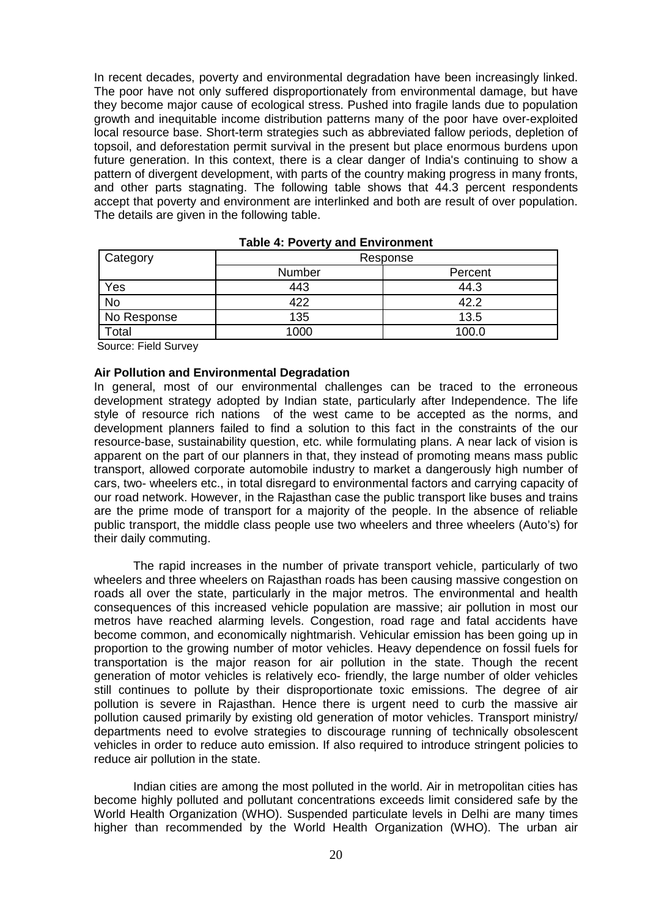In recent decades, poverty and environmental degradation have been increasingly linked. The poor have not only suffered disproportionately from environmental damage, but have they become major cause of ecological stress. Pushed into fragile lands due to population growth and inequitable income distribution patterns many of the poor have over-exploited local resource base. Short-term strategies such as abbreviated fallow periods, depletion of topsoil, and deforestation permit survival in the present but place enormous burdens upon future generation. In this context, there is a clear danger of India's continuing to show a pattern of divergent development, with parts of the country making progress in many fronts, and other parts stagnating. The following table shows that 44.3 percent respondents accept that poverty and environment are interlinked and both are result of over population. The details are given in the following table.

| Category     | Response |         |  |
|--------------|----------|---------|--|
|              | Number   | Percent |  |
| Yes          | 443      | 44.3    |  |
| <b>No</b>    | 422      | 42.2    |  |
| No Response  | 135      | 13.5    |  |
| <b>Total</b> | 1000     | 100.0   |  |

Source: Field Survey

#### **Air Pollution and Environmental Degradation**

In general, most of our environmental challenges can be traced to the erroneous development strategy adopted by Indian state, particularly after Independence. The life style of resource rich nations of the west came to be accepted as the norms, and development planners failed to find a solution to this fact in the constraints of the our resource-base, sustainability question, etc. while formulating plans. A near lack of vision is apparent on the part of our planners in that, they instead of promoting means mass public transport, allowed corporate automobile industry to market a dangerously high number of cars, two- wheelers etc., in total disregard to environmental factors and carrying capacity of our road network. However, in the Rajasthan case the public transport like buses and trains are the prime mode of transport for a majority of the people. In the absence of reliable public transport, the middle class people use two wheelers and three wheelers (Auto's) for their daily commuting.

The rapid increases in the number of private transport vehicle, particularly of two wheelers and three wheelers on Rajasthan roads has been causing massive congestion on roads all over the state, particularly in the major metros. The environmental and health consequences of this increased vehicle population are massive; air pollution in most our metros have reached alarming levels. Congestion, road rage and fatal accidents have become common, and economically nightmarish. Vehicular emission has been going up in proportion to the growing number of motor vehicles. Heavy dependence on fossil fuels for transportation is the major reason for air pollution in the state. Though the recent generation of motor vehicles is relatively eco- friendly, the large number of older vehicles still continues to pollute by their disproportionate toxic emissions. The degree of air pollution is severe in Rajasthan. Hence there is urgent need to curb the massive air pollution caused primarily by existing old generation of motor vehicles. Transport ministry/ departments need to evolve strategies to discourage running of technically obsolescent vehicles in order to reduce auto emission. If also required to introduce stringent policies to reduce air pollution in the state.

Indian cities are among the most polluted in the world. Air in metropolitan cities has become highly polluted and pollutant concentrations exceeds limit considered safe by the World Health Organization (WHO). Suspended particulate levels in Delhi are many times higher than recommended by the World Health Organization (WHO). The urban air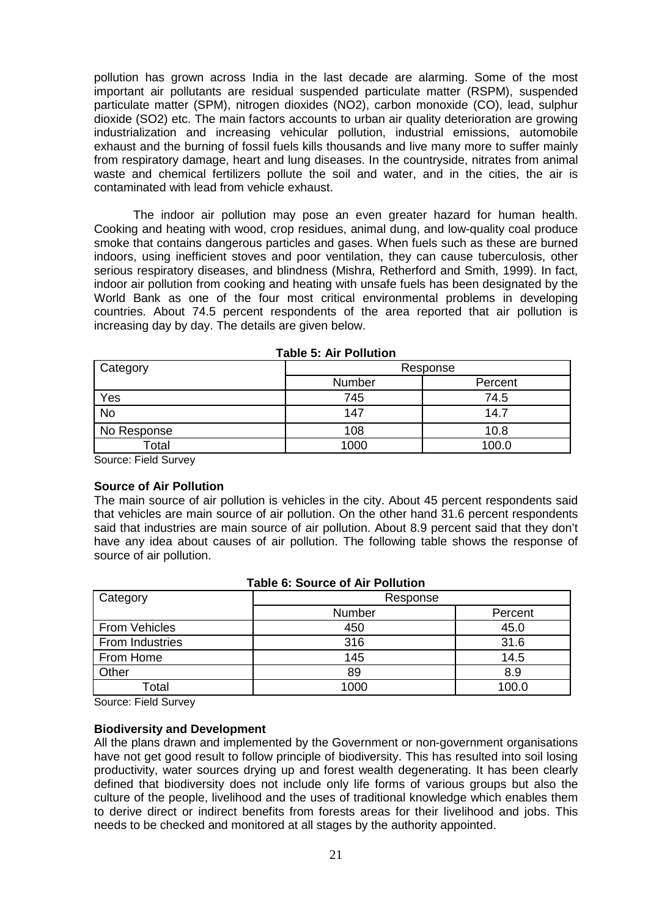pollution has grown across India in the last decade are alarming. Some of the most important air pollutants are residual suspended particulate matter (RSPM), suspended particulate matter (SPM), nitrogen dioxides (NO2), carbon monoxide (CO), lead, sulphur dioxide (SO2) etc. The main factors accounts to urban air quality deterioration are growing industrialization and increasing vehicular pollution, industrial emissions, automobile exhaust and the burning of fossil fuels kills thousands and live many more to suffer mainly from respiratory damage, heart and lung diseases. In the countryside, nitrates from animal waste and chemical fertilizers pollute the soil and water, and in the cities, the air is contaminated with lead from vehicle exhaust.

The indoor air pollution may pose an even greater hazard for human health. Cooking and heating with wood, crop residues, animal dung, and low-quality coal produce smoke that contains dangerous particles and gases. When fuels such as these are burned indoors, using inefficient stoves and poor ventilation, they can cause tuberculosis, other serious respiratory diseases, and blindness (Mishra, Retherford and Smith, 1999). In fact, indoor air pollution from cooking and heating with unsafe fuels has been designated by the World Bank as one of the four most critical environmental problems in developing countries. About 74.5 percent respondents of the area reported that air pollution is increasing day by day. The details are given below.

| Category    |        | Response |  |  |
|-------------|--------|----------|--|--|
|             | Number | Percent  |  |  |
| Yes         | 745    | 74.5     |  |  |
| <b>No</b>   | 147    | 14.7     |  |  |
| No Response | 108    | 10.8     |  |  |
| Total       | 1000   | 100.0    |  |  |

**Table 5: Air Pollution** 

Source: Field Survey

## **Source of Air Pollution**

The main source of air pollution is vehicles in the city. About 45 percent respondents said that vehicles are main source of air pollution. On the other hand 31.6 percent respondents said that industries are main source of air pollution. About 8.9 percent said that they don't have any idea about causes of air pollution. The following table shows the response of source of air pollution.

# **Table 6: Source of Air Pollution**

| Category             | Response |         |  |
|----------------------|----------|---------|--|
|                      | Number   | Percent |  |
| <b>From Vehicles</b> | 450      | 45.0    |  |
| From Industries      | 316      | 31.6    |  |
| From Home            | 145      | 14.5    |  |
| Other                | 89       | 8.9     |  |
| Total                | 1000     | 100.0   |  |

Source: Field Survey

#### **Biodiversity and Development**

All the plans drawn and implemented by the Government or non-government organisations have not get good result to follow principle of biodiversity. This has resulted into soil losing productivity, water sources drying up and forest wealth degenerating. It has been clearly defined that biodiversity does not include only life forms of various groups but also the culture of the people, livelihood and the uses of traditional knowledge which enables them to derive direct or indirect benefits from forests areas for their livelihood and jobs. This needs to be checked and monitored at all stages by the authority appointed.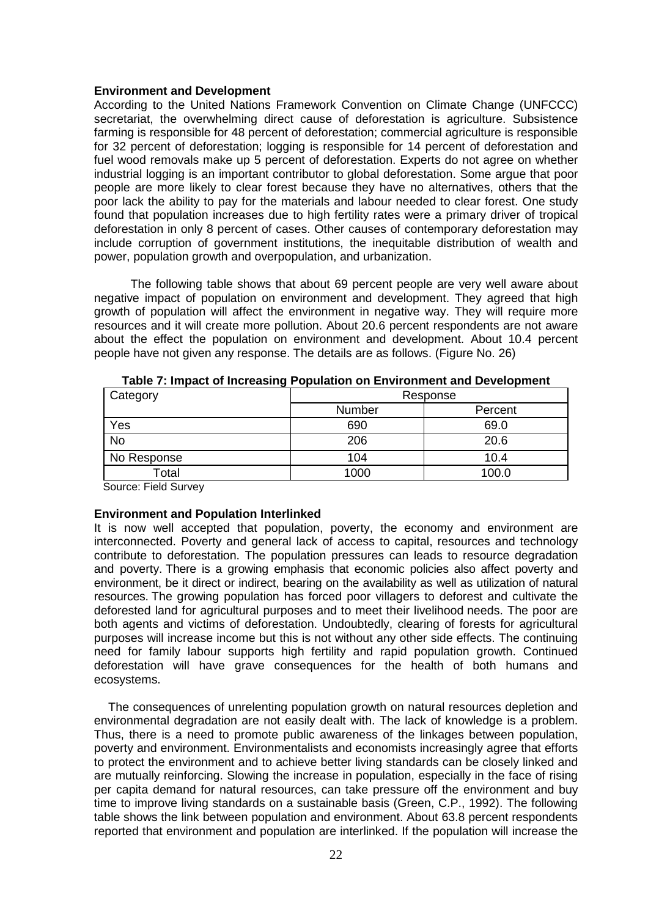#### **Environment and Development**

According to the United Nations Framework Convention on Climate Change (UNFCCC) secretariat, the overwhelming direct cause of deforestation is agriculture. Subsistence farming is responsible for 48 percent of deforestation; commercial agriculture is responsible for 32 percent of deforestation; logging is responsible for 14 percent of deforestation and fuel wood removals make up 5 percent of deforestation. Experts do not agree on whether industrial logging is an important contributor to global deforestation. Some argue that poor people are more likely to clear forest because they have no alternatives, others that the poor lack the ability to pay for the materials and labour needed to clear forest. One study found that population increases due to high fertility rates were a primary driver of tropical deforestation in only 8 percent of cases. Other causes of contemporary deforestation may include corruption of government institutions, the inequitable distribution of wealth and power, population growth and overpopulation, and urbanization.

 The following table shows that about 69 percent people are very well aware about negative impact of population on environment and development. They agreed that high growth of population will affect the environment in negative way. They will require more resources and it will create more pollution. About 20.6 percent respondents are not aware about the effect the population on environment and development. About 10.4 percent people have not given any response. The details are as follows. (Figure No. 26)

| Category    | Response |         |  |
|-------------|----------|---------|--|
|             | Number   | Percent |  |
| Yes         | 690      | 69.0    |  |
| No          | 206      | 20.6    |  |
| No Response | 104      | 10.4    |  |
| Total       | 1000     | 100.0   |  |

| Table 7: Impact of Increasing Population on Environment and Development |  |  |  |  |  |  |
|-------------------------------------------------------------------------|--|--|--|--|--|--|
|-------------------------------------------------------------------------|--|--|--|--|--|--|

Source: Field Survey

## **Environment and Population Interlinked**

It is now well accepted that population, poverty, the economy and environment are interconnected. Poverty and general lack of access to capital, resources and technology contribute to deforestation. The population pressures can leads to resource degradation and poverty. There is a growing emphasis that economic policies also affect poverty and environment, be it direct or indirect, bearing on the availability as well as utilization of natural resources. The growing population has forced poor villagers to deforest and cultivate the deforested land for agricultural purposes and to meet their livelihood needs. The poor are both agents and victims of deforestation. Undoubtedly, clearing of forests for agricultural purposes will increase income but this is not without any other side effects. The continuing need for family labour supports high fertility and rapid population growth. Continued deforestation will have grave consequences for the health of both humans and ecosystems.

 The consequences of unrelenting population growth on natural resources depletion and environmental degradation are not easily dealt with. The lack of knowledge is a problem. Thus, there is a need to promote public awareness of the linkages between population, poverty and environment. Environmentalists and economists increasingly agree that efforts to protect the environment and to achieve better living standards can be closely linked and are mutually reinforcing. Slowing the increase in population, especially in the face of rising per capita demand for natural resources, can take pressure off the environment and buy time to improve living standards on a sustainable basis (Green, C.P., 1992). The following table shows the link between population and environment. About 63.8 percent respondents reported that environment and population are interlinked. If the population will increase the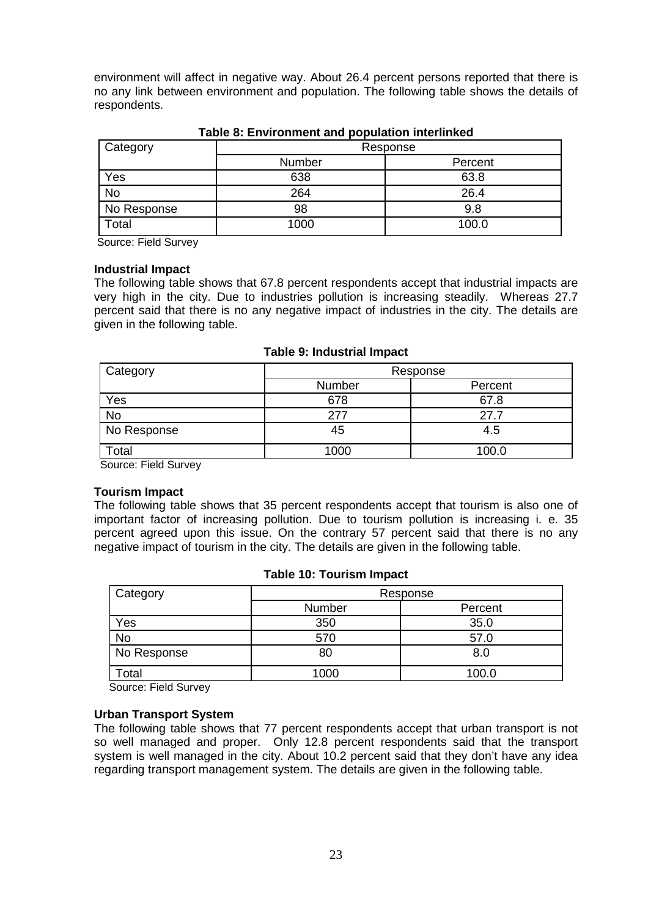environment will affect in negative way. About 26.4 percent persons reported that there is no any link between environment and population. The following table shows the details of respondents.

| Category    | Response |         |  |
|-------------|----------|---------|--|
|             | Number   | Percent |  |
| Yes         | 638      | 63.8    |  |
| <b>No</b>   | 264      | 26.4    |  |
| No Response | 98       | 9.8     |  |
| Total       | 1000     | 100.0   |  |

## **Table 8: Environment and population interlinked**

Source: Field Survey

## **Industrial Impact**

The following table shows that 67.8 percent respondents accept that industrial impacts are very high in the city. Due to industries pollution is increasing steadily. Whereas 27.7 percent said that there is no any negative impact of industries in the city. The details are given in the following table.

#### **Table 9: Industrial Impact**

| Category        | Response |         |
|-----------------|----------|---------|
|                 | Number   | Percent |
| Yes             | 678      | 67.8    |
| No              | 277      | 27.7    |
| No Response     | 45       | 4.5     |
| Total<br>$\sim$ | 1000     | 100.0   |

Source: Field Survey

## **Tourism Impact**

The following table shows that 35 percent respondents accept that tourism is also one of important factor of increasing pollution. Due to tourism pollution is increasing i. e. 35 percent agreed upon this issue. On the contrary 57 percent said that there is no any negative impact of tourism in the city. The details are given in the following table.

## **Table 10: Tourism Impact**

| Category    | Response |         |  |
|-------------|----------|---------|--|
|             | Number   | Percent |  |
| Yes         | 350      | 35.0    |  |
| <b>No</b>   | 570      | 57.0    |  |
| No Response | 80       | 8.0     |  |
| Γotal       | 1000     | 100.0   |  |

Source: Field Survey

## **Urban Transport System**

The following table shows that 77 percent respondents accept that urban transport is not so well managed and proper. Only 12.8 percent respondents said that the transport system is well managed in the city. About 10.2 percent said that they don't have any idea regarding transport management system. The details are given in the following table.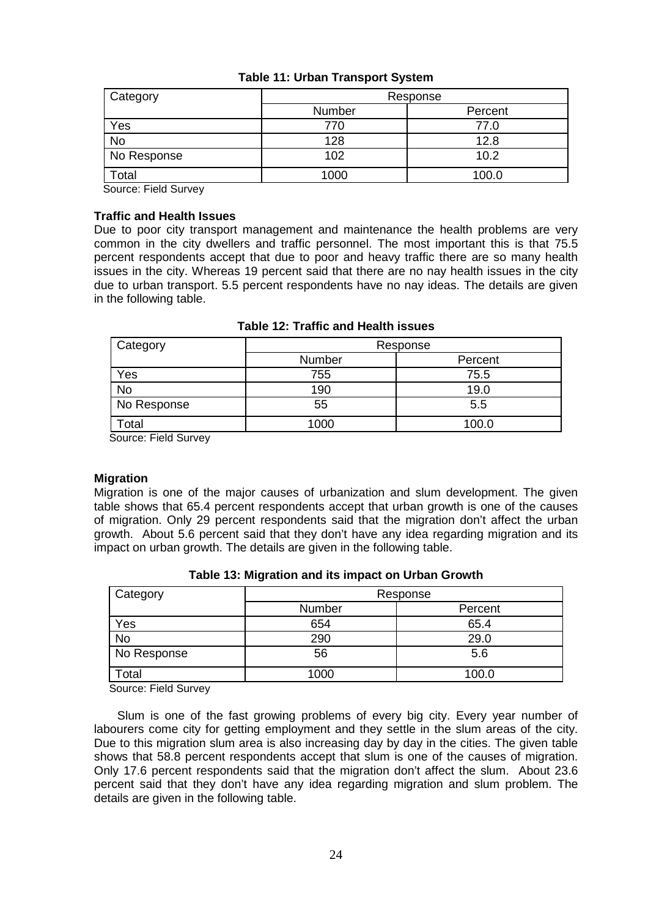| Category    | Response |         |
|-------------|----------|---------|
|             | Number   | Percent |
| Yes         | 770      | 77.0    |
| No          | 128      | 12.8    |
| No Response | 102      | 10.2    |
| otal        | 1000     | 100.0   |

# **Table 11: Urban Transport System**

Source: Field Survey

## **Traffic and Health Issues**

Due to poor city transport management and maintenance the health problems are very common in the city dwellers and traffic personnel. The most important this is that 75.5 percent respondents accept that due to poor and heavy traffic there are so many health issues in the city. Whereas 19 percent said that there are no nay health issues in the city due to urban transport. 5.5 percent respondents have no nay ideas. The details are given in the following table.

| Category    | Response |         |
|-------------|----------|---------|
|             | Number   | Percent |
| Yes         | 755      | 75.5    |
| <b>No</b>   | 190      | 19.0    |
| No Response | 55       | 5.5     |
| Total       | 1000     | 100.0   |

|  |  | Table 12: Traffic and Health issues |  |
|--|--|-------------------------------------|--|
|--|--|-------------------------------------|--|

Source: Field Survey

## **Migration**

Migration is one of the major causes of urbanization and slum development. The given table shows that 65.4 percent respondents accept that urban growth is one of the causes of migration. Only 29 percent respondents said that the migration don't affect the urban growth. About 5.6 percent said that they don't have any idea regarding migration and its impact on urban growth. The details are given in the following table.

| Category    | Response |         |
|-------------|----------|---------|
|             | Number   | Percent |
| Yes         | 654      | 65.4    |
| No          | 290      | 29.0    |
| No Response | 56       | 5.6     |
| ⊺otal       | 1000     | 100.0   |

| Table 13: Migration and its impact on Urban Growth |  |  |
|----------------------------------------------------|--|--|
|----------------------------------------------------|--|--|

Source: Field Survey

 Slum is one of the fast growing problems of every big city. Every year number of labourers come city for getting employment and they settle in the slum areas of the city. Due to this migration slum area is also increasing day by day in the cities. The given table shows that 58.8 percent respondents accept that slum is one of the causes of migration. Only 17.6 percent respondents said that the migration don't affect the slum. About 23.6 percent said that they don't have any idea regarding migration and slum problem. The details are given in the following table.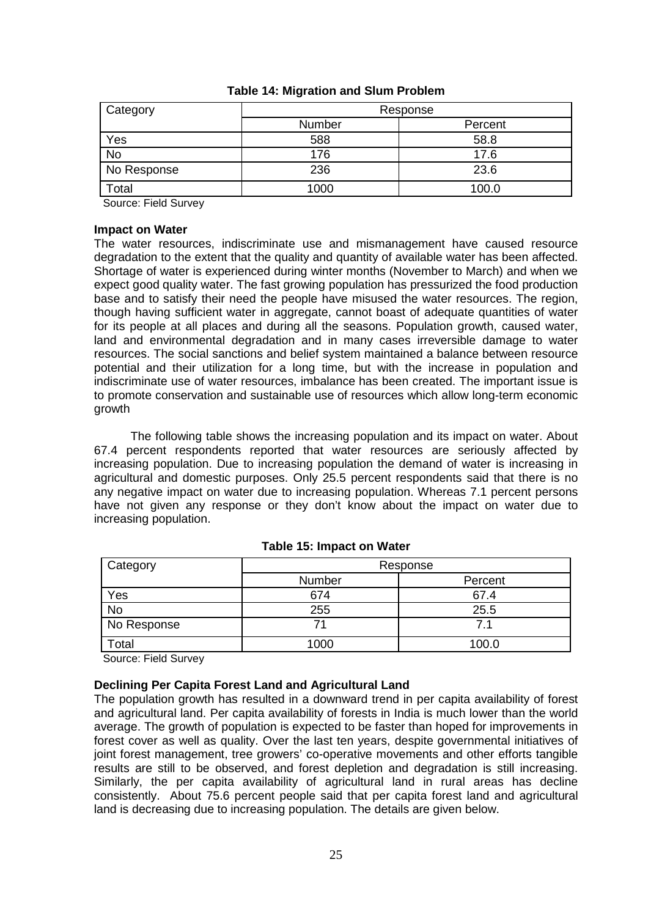| Category          | Response |         |
|-------------------|----------|---------|
|                   | Number   | Percent |
| Yes               | 588      | 58.8    |
| <b>No</b>         | 176      | 17.6    |
| No Response       | 236      | 23.6    |
| otal <sup>-</sup> | 1000     | 100.0   |

## **Table 14: Migration and Slum Problem**

Source: Field Survey

## **Impact on Water**

The water resources, indiscriminate use and mismanagement have caused resource degradation to the extent that the quality and quantity of available water has been affected. Shortage of water is experienced during winter months (November to March) and when we expect good quality water. The fast growing population has pressurized the food production base and to satisfy their need the people have misused the water resources. The region, though having sufficient water in aggregate, cannot boast of adequate quantities of water for its people at all places and during all the seasons. Population growth, caused water, land and environmental degradation and in many cases irreversible damage to water resources. The social sanctions and belief system maintained a balance between resource potential and their utilization for a long time, but with the increase in population and indiscriminate use of water resources, imbalance has been created. The important issue is to promote conservation and sustainable use of resources which allow long-term economic growth

 The following table shows the increasing population and its impact on water. About 67.4 percent respondents reported that water resources are seriously affected by increasing population. Due to increasing population the demand of water is increasing in agricultural and domestic purposes. Only 25.5 percent respondents said that there is no any negative impact on water due to increasing population. Whereas 7.1 percent persons have not given any response or they don't know about the impact on water due to increasing population.

| Category    | Response |         |
|-------------|----------|---------|
|             | Number   | Percent |
| Yes         | 674      | 67.4    |
| <b>No</b>   | 255      | 25.5    |
| No Response |          | 71      |
| Total       | 1000     | 100.0   |

## **Table 15: Impact on Water**

Source: Field Survey

## **Declining Per Capita Forest Land and Agricultural Land**

The population growth has resulted in a downward trend in per capita availability of forest and agricultural land. Per capita availability of forests in India is much lower than the world average. The growth of population is expected to be faster than hoped for improvements in forest cover as well as quality. Over the last ten years, despite governmental initiatives of joint forest management, tree growers' co-operative movements and other efforts tangible results are still to be observed, and forest depletion and degradation is still increasing. Similarly, the per capita availability of agricultural land in rural areas has decline consistently. About 75.6 percent people said that per capita forest land and agricultural land is decreasing due to increasing population. The details are given below.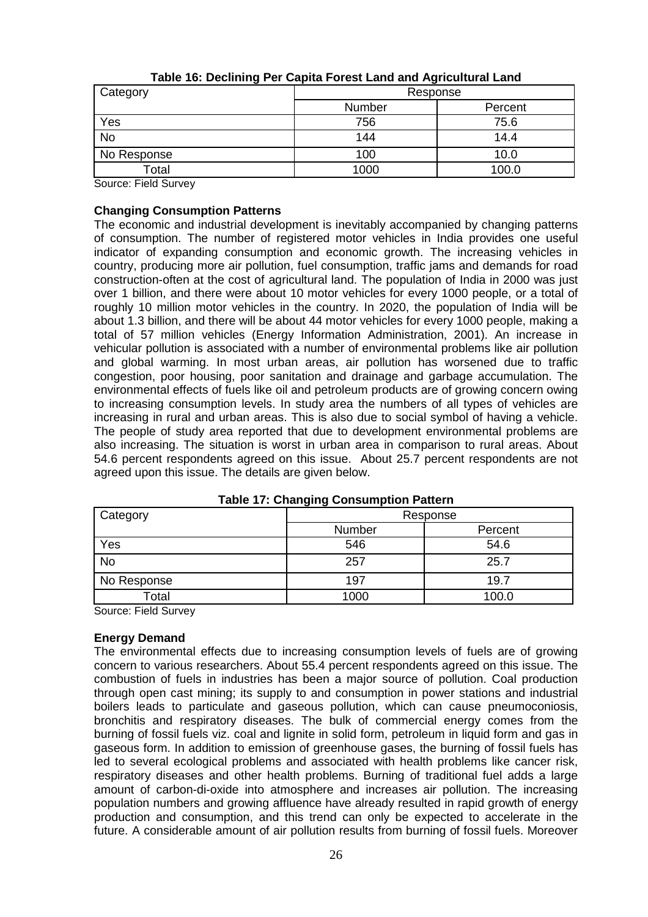| Category    | Response |         |
|-------------|----------|---------|
|             | Number   | Percent |
| Yes         | 756      | 75.6    |
| <b>No</b>   | 144      | 14.4    |
| No Response | 100      | 10.0    |
| Total       | 1000     | 100.0   |

|  | Table 16: Declining Per Capita Forest Land and Agricultural Land |  |
|--|------------------------------------------------------------------|--|
|  |                                                                  |  |

Source: Field Survey

## **Changing Consumption Patterns**

The economic and industrial development is inevitably accompanied by changing patterns of consumption. The number of registered motor vehicles in India provides one useful indicator of expanding consumption and economic growth. The increasing vehicles in country, producing more air pollution, fuel consumption, traffic jams and demands for road construction-often at the cost of agricultural land. The population of India in 2000 was just over 1 billion, and there were about 10 motor vehicles for every 1000 people, or a total of roughly 10 million motor vehicles in the country. In 2020, the population of India will be about 1.3 billion, and there will be about 44 motor vehicles for every 1000 people, making a total of 57 million vehicles (Energy Information Administration, 2001). An increase in vehicular pollution is associated with a number of environmental problems like air pollution and global warming. In most urban areas, air pollution has worsened due to traffic congestion, poor housing, poor sanitation and drainage and garbage accumulation. The environmental effects of fuels like oil and petroleum products are of growing concern owing to increasing consumption levels. In study area the numbers of all types of vehicles are increasing in rural and urban areas. This is also due to social symbol of having a vehicle. The people of study area reported that due to development environmental problems are also increasing. The situation is worst in urban area in comparison to rural areas. About 54.6 percent respondents agreed on this issue. About 25.7 percent respondents are not agreed upon this issue. The details are given below.

| - 3 - - - 3 |        |          |
|-------------|--------|----------|
| Category    |        | Response |
|             | Number | Percent  |
| Yes         | 546    | 54.6     |
| <b>No</b>   | 257    | 25.7     |
| No Response | 197    | 19.7     |
| Total       | 1000   | 100.0    |

|  | <b>Table 17: Changing Consumption Pattern</b> |
|--|-----------------------------------------------|
|--|-----------------------------------------------|

Source: Field Survey

# **Energy Demand**

The environmental effects due to increasing consumption levels of fuels are of growing concern to various researchers. About 55.4 percent respondents agreed on this issue. The combustion of fuels in industries has been a major source of pollution. Coal production through open cast mining; its supply to and consumption in power stations and industrial boilers leads to particulate and gaseous pollution, which can cause pneumoconiosis, bronchitis and respiratory diseases. The bulk of commercial energy comes from the burning of fossil fuels viz. coal and lignite in solid form, petroleum in liquid form and gas in gaseous form. In addition to emission of greenhouse gases, the burning of fossil fuels has led to several ecological problems and associated with health problems like cancer risk, respiratory diseases and other health problems. Burning of traditional fuel adds a large amount of carbon-di-oxide into atmosphere and increases air pollution. The increasing population numbers and growing affluence have already resulted in rapid growth of energy production and consumption, and this trend can only be expected to accelerate in the future. A considerable amount of air pollution results from burning of fossil fuels. Moreover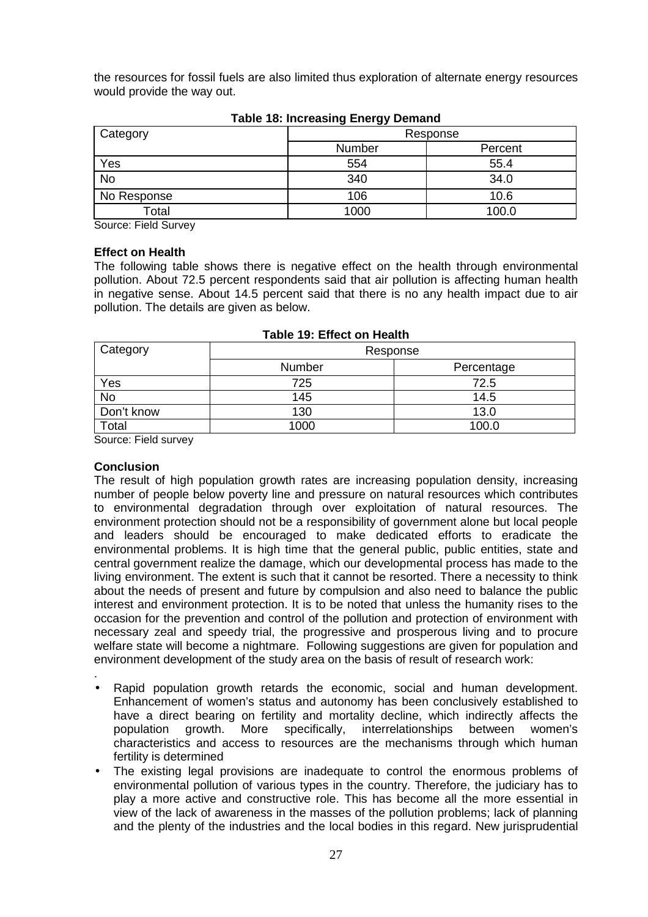the resources for fossil fuels are also limited thus exploration of alternate energy resources would provide the way out.

| --          |          |         |
|-------------|----------|---------|
| Category    | Response |         |
|             | Number   | Percent |
| Yes         | 554      | 55.4    |
| <b>No</b>   | 340      | 34.0    |
| No Response | 106      | 10.6    |
| Total       | 1000     | 100.0   |

**Table 18: Increasing Energy Demand** 

Source: Field Survey

## **Effect on Health**

The following table shows there is negative effect on the health through environmental pollution. About 72.5 percent respondents said that air pollution is affecting human health in negative sense. About 14.5 percent said that there is no any health impact due to air pollution. The details are given as below.

| Category   | Response |            |
|------------|----------|------------|
|            | Number   | Percentage |
| Yes        | 725      | 72.5       |
| <b>No</b>  | 145      | 14.5       |
| Don't know | 130      | 13.0       |
| Total      | 1000     | 100.0      |

## **Table 19: Effect on Health**

Source: Field survey

## **Conclusion**

The result of high population growth rates are increasing population density, increasing number of people below poverty line and pressure on natural resources which contributes to environmental degradation through over exploitation of natural resources. The environment protection should not be a responsibility of government alone but local people and leaders should be encouraged to make dedicated efforts to eradicate the environmental problems. It is high time that the general public, public entities, state and central government realize the damage, which our developmental process has made to the living environment. The extent is such that it cannot be resorted. There a necessity to think about the needs of present and future by compulsion and also need to balance the public interest and environment protection. It is to be noted that unless the humanity rises to the occasion for the prevention and control of the pollution and protection of environment with necessary zeal and speedy trial, the progressive and prosperous living and to procure welfare state will become a nightmare. Following suggestions are given for population and environment development of the study area on the basis of result of research work:

- . • Rapid population growth retards the economic, social and human development. Enhancement of women's status and autonomy has been conclusively established to have a direct bearing on fertility and mortality decline, which indirectly affects the population growth. More specifically, interrelationships between women's characteristics and access to resources are the mechanisms through which human fertility is determined
- The existing legal provisions are inadequate to control the enormous problems of environmental pollution of various types in the country. Therefore, the judiciary has to play a more active and constructive role. This has become all the more essential in view of the lack of awareness in the masses of the pollution problems; lack of planning and the plenty of the industries and the local bodies in this regard. New jurisprudential